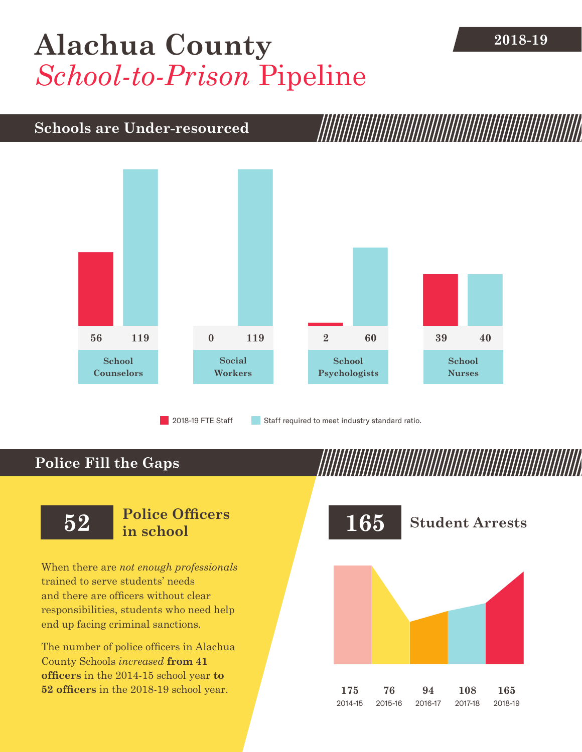## [Alachua County](DBF_County) 2018-19 *School-to-Prison* Pipeline

### **Schools are Under-resourced**



2018-19 FTE Staff **Staff required to meet industry standard ratio.** 

## **Police Fill the Gaps**

When there are *not enough professionals* trained to serve students' needs and there are officers without clear responsibilities, students who need help end up facing criminal sanctions.

The number of police officers in [Alachua](DBF_County)  [County](DBF_County) Schools *increased* **from [41](DBF_PO1415)  officers** in the 2014-15 school year **to [52](DBF_PO) officers** in the 2018-19 school year.